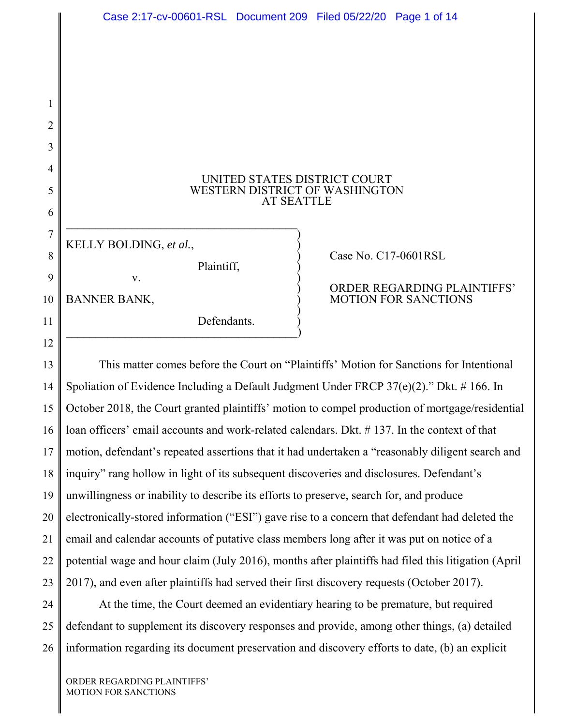### UNITED STATES DISTRICT COURT WESTERN DISTRICT OF WASHINGTON AT SEATTLE

 $\overline{\phantom{a}}$ 

1

2

3

4

5

6

7

8

9

10

11

12

# KELLY BOLDING, *et al.*, )) Case No. C17-0601RSL Plaintiff, ) v. )) ORDER REGARDING PLAINTIFFS' BANNER BANK, ) MOTION FOR SANCTIONS ) Defendants. ) \_\_\_\_\_\_\_\_\_\_\_\_\_\_\_\_\_\_\_\_\_\_\_\_\_\_\_\_\_\_\_\_\_\_\_\_\_\_\_)

13 14 15 16 17 18 19 20 21 22 23 This matter comes before the Court on "Plaintiffs' Motion for Sanctions for Intentional Spoliation of Evidence Including a Default Judgment Under FRCP 37(e)(2)." Dkt. # 166. In October 2018, the Court granted plaintiffs' motion to compel production of mortgage/residential loan officers' email accounts and work-related calendars. Dkt. # 137. In the context of that motion, defendant's repeated assertions that it had undertaken a "reasonably diligent search and inquiry" rang hollow in light of its subsequent discoveries and disclosures. Defendant's unwillingness or inability to describe its efforts to preserve, search for, and produce electronically-stored information ("ESI") gave rise to a concern that defendant had deleted the email and calendar accounts of putative class members long after it was put on notice of a potential wage and hour claim (July 2016), months after plaintiffs had filed this litigation (April 2017), and even after plaintiffs had served their first discovery requests (October 2017).

24 25 26 At the time, the Court deemed an evidentiary hearing to be premature, but required defendant to supplement its discovery responses and provide, among other things, (a) detailed information regarding its document preservation and discovery efforts to date, (b) an explicit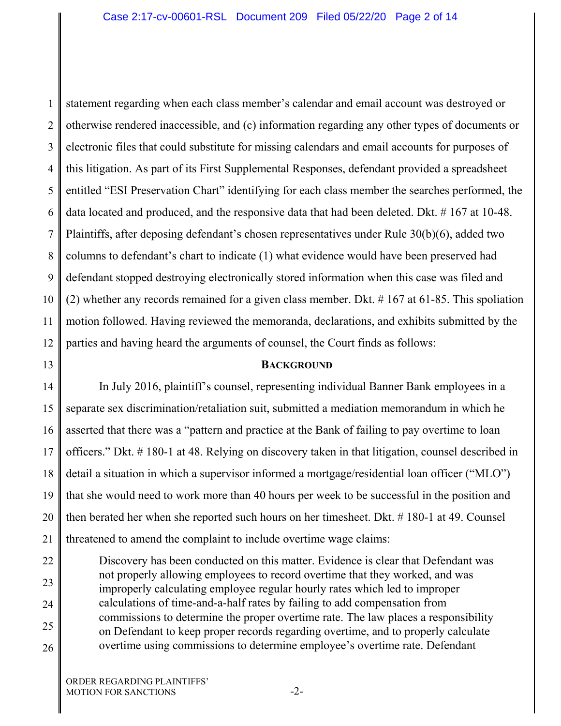1 2 3 4 5 6 7 8 9 10 11 12 statement regarding when each class member's calendar and email account was destroyed or otherwise rendered inaccessible, and (c) information regarding any other types of documents or electronic files that could substitute for missing calendars and email accounts for purposes of this litigation. As part of its First Supplemental Responses, defendant provided a spreadsheet entitled "ESI Preservation Chart" identifying for each class member the searches performed, the data located and produced, and the responsive data that had been deleted. Dkt. # 167 at 10-48. Plaintiffs, after deposing defendant's chosen representatives under Rule 30(b)(6), added two columns to defendant's chart to indicate (1) what evidence would have been preserved had defendant stopped destroying electronically stored information when this case was filed and (2) whether any records remained for a given class member. Dkt. # 167 at 61-85. This spoliation motion followed. Having reviewed the memoranda, declarations, and exhibits submitted by the parties and having heard the arguments of counsel, the Court finds as follows:

13

## **BACKGROUND**

14 15 16 17 18 19 20 21 In July 2016, plaintiff's counsel, representing individual Banner Bank employees in a separate sex discrimination/retaliation suit, submitted a mediation memorandum in which he asserted that there was a "pattern and practice at the Bank of failing to pay overtime to loan officers." Dkt. # 180-1 at 48. Relying on discovery taken in that litigation, counsel described in detail a situation in which a supervisor informed a mortgage/residential loan officer ("MLO") that she would need to work more than 40 hours per week to be successful in the position and then berated her when she reported such hours on her timesheet. Dkt. # 180-1 at 49. Counsel threatened to amend the complaint to include overtime wage claims:

22 23 24 25 26 Discovery has been conducted on this matter. Evidence is clear that Defendant was not properly allowing employees to record overtime that they worked, and was improperly calculating employee regular hourly rates which led to improper calculations of time-and-a-half rates by failing to add compensation from commissions to determine the proper overtime rate. The law places a responsibility on Defendant to keep proper records regarding overtime, and to properly calculate overtime using commissions to determine employee's overtime rate. Defendant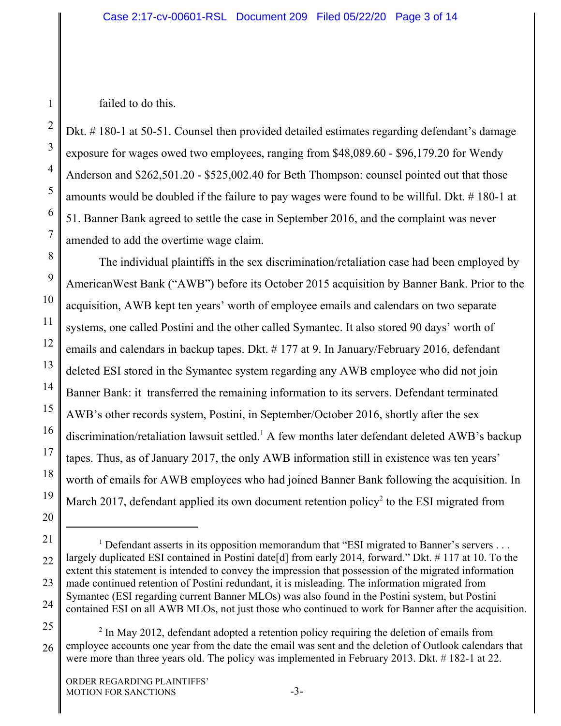failed to do this.

1

2

3

4

5

6

7

8

9

10

11

12

13

14

15

16

17

18

19

20

Dkt. # 180-1 at 50-51. Counsel then provided detailed estimates regarding defendant's damage exposure for wages owed two employees, ranging from \$48,089.60 - \$96,179.20 for Wendy Anderson and \$262,501.20 - \$525,002.40 for Beth Thompson: counsel pointed out that those amounts would be doubled if the failure to pay wages were found to be willful. Dkt. # 180-1 at 51. Banner Bank agreed to settle the case in September 2016, and the complaint was never amended to add the overtime wage claim.

The individual plaintiffs in the sex discrimination/retaliation case had been employed by AmericanWest Bank ("AWB") before its October 2015 acquisition by Banner Bank. Prior to the acquisition, AWB kept ten years' worth of employee emails and calendars on two separate systems, one called Postini and the other called Symantec. It also stored 90 days' worth of emails and calendars in backup tapes. Dkt. # 177 at 9. In January/February 2016, defendant deleted ESI stored in the Symantec system regarding any AWB employee who did not join Banner Bank: it transferred the remaining information to its servers. Defendant terminated AWB's other records system, Postini, in September/October 2016, shortly after the sex discrimination/retaliation lawsuit settled.<sup>1</sup> A few months later defendant deleted AWB's backup tapes. Thus, as of January 2017, the only AWB information still in existence was ten years' worth of emails for AWB employees who had joined Banner Bank following the acquisition. In March 2017, defendant applied its own document retention policy<sup>2</sup> to the ESI migrated from

<sup>21</sup> 22 23 24 <sup>1</sup> Defendant asserts in its opposition memorandum that "ESI migrated to Banner's servers . . . largely duplicated ESI contained in Postini date[d] from early 2014, forward." Dkt. # 117 at 10. To the extent this statement is intended to convey the impression that possession of the migrated information made continued retention of Postini redundant, it is misleading. The information migrated from Symantec (ESI regarding current Banner MLOs) was also found in the Postini system, but Postini contained ESI on all AWB MLOs, not just those who continued to work for Banner after the acquisition.

<sup>25</sup> 26  $2$  In May 2012, defendant adopted a retention policy requiring the deletion of emails from employee accounts one year from the date the email was sent and the deletion of Outlook calendars that were more than three years old. The policy was implemented in February 2013. Dkt. # 182-1 at 22.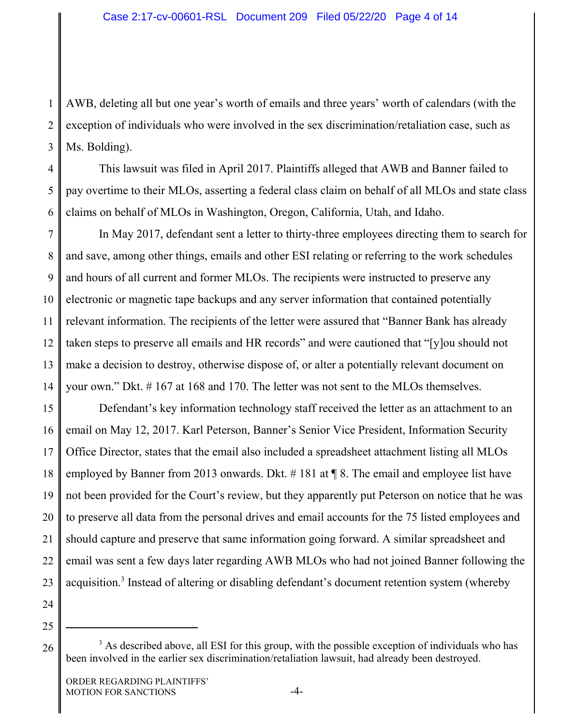1 2 3 AWB, deleting all but one year's worth of emails and three years' worth of calendars (with the exception of individuals who were involved in the sex discrimination/retaliation case, such as Ms. Bolding).

4 5 6 This lawsuit was filed in April 2017. Plaintiffs alleged that AWB and Banner failed to pay overtime to their MLOs, asserting a federal class claim on behalf of all MLOs and state class claims on behalf of MLOs in Washington, Oregon, California, Utah, and Idaho.

7 8 9 10 11 12 13 14 In May 2017, defendant sent a letter to thirty-three employees directing them to search for and save, among other things, emails and other ESI relating or referring to the work schedules and hours of all current and former MLOs. The recipients were instructed to preserve any electronic or magnetic tape backups and any server information that contained potentially relevant information. The recipients of the letter were assured that "Banner Bank has already taken steps to preserve all emails and HR records" and were cautioned that "[y]ou should not make a decision to destroy, otherwise dispose of, or alter a potentially relevant document on your own." Dkt. # 167 at 168 and 170. The letter was not sent to the MLOs themselves.

15 16 17 18 19 20 21 22 23 24 Defendant's key information technology staff received the letter as an attachment to an email on May 12, 2017. Karl Peterson, Banner's Senior Vice President, Information Security Office Director, states that the email also included a spreadsheet attachment listing all MLOs employed by Banner from 2013 onwards. Dkt. # 181 at ¶ 8. The email and employee list have not been provided for the Court's review, but they apparently put Peterson on notice that he was to preserve all data from the personal drives and email accounts for the 75 listed employees and should capture and preserve that same information going forward. A similar spreadsheet and email was sent a few days later regarding AWB MLOs who had not joined Banner following the acquisition.<sup>3</sup> Instead of altering or disabling defendant's document retention system (whereby

25

26

<sup>&</sup>lt;sup>3</sup> As described above, all ESI for this group, with the possible exception of individuals who has been involved in the earlier sex discrimination/retaliation lawsuit, had already been destroyed.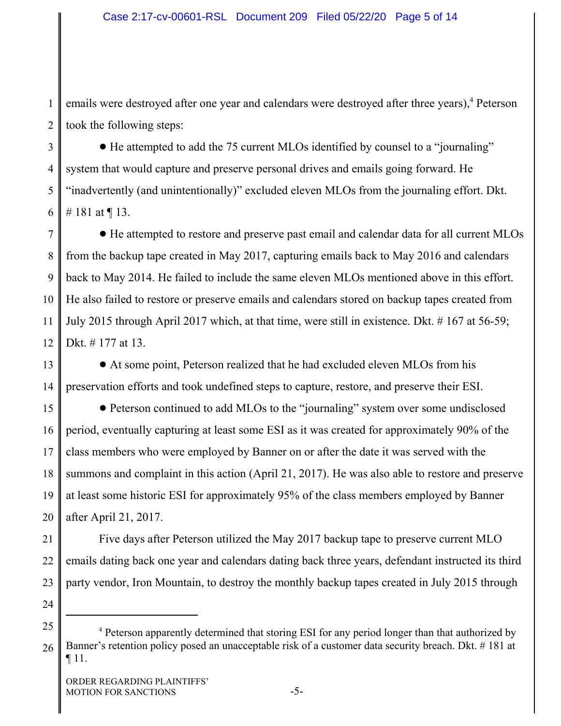1 2 emails were destroyed after one year and calendars were destroyed after three years),<sup>4</sup> Peterson took the following steps:

3 4 5 6 ! He attempted to add the 75 current MLOs identified by counsel to a "journaling" system that would capture and preserve personal drives and emails going forward. He "inadvertently (and unintentionally)" excluded eleven MLOs from the journaling effort. Dkt. # 181 at ¶ 13.

7 8 9 10 11 12 ! He attempted to restore and preserve past email and calendar data for all current MLOs from the backup tape created in May 2017, capturing emails back to May 2016 and calendars back to May 2014. He failed to include the same eleven MLOs mentioned above in this effort. He also failed to restore or preserve emails and calendars stored on backup tapes created from July 2015 through April 2017 which, at that time, were still in existence. Dkt. # 167 at 56-59; Dkt. # 177 at 13.

13 14 ! At some point, Peterson realized that he had excluded eleven MLOs from his preservation efforts and took undefined steps to capture, restore, and preserve their ESI.

15 16 17 18 19 20 ! Peterson continued to add MLOs to the "journaling" system over some undisclosed period, eventually capturing at least some ESI as it was created for approximately 90% of the class members who were employed by Banner on or after the date it was served with the summons and complaint in this action (April 21, 2017). He was also able to restore and preserve at least some historic ESI for approximately 95% of the class members employed by Banner after April 21, 2017.

21 22 23 Five days after Peterson utilized the May 2017 backup tape to preserve current MLO emails dating back one year and calendars dating back three years, defendant instructed its third party vendor, Iron Mountain, to destroy the monthly backup tapes created in July 2015 through

24

<sup>25</sup> 26 <sup>4</sup> Peterson apparently determined that storing ESI for any period longer than that authorized by Banner's retention policy posed an unacceptable risk of a customer data security breach. Dkt. # 181 at ¶ 11.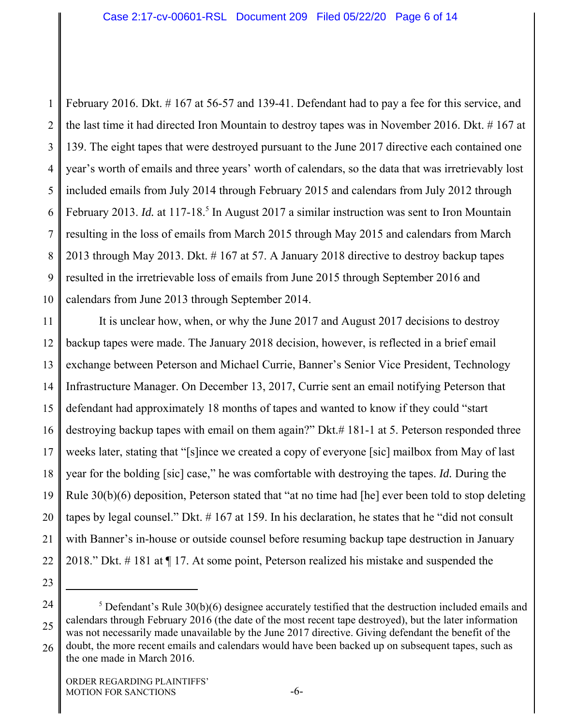1 2 3 4 5 6 7 8 9 10 February 2016. Dkt. # 167 at 56-57 and 139-41. Defendant had to pay a fee for this service, and the last time it had directed Iron Mountain to destroy tapes was in November 2016. Dkt. # 167 at 139. The eight tapes that were destroyed pursuant to the June 2017 directive each contained one year's worth of emails and three years' worth of calendars, so the data that was irretrievably lost included emails from July 2014 through February 2015 and calendars from July 2012 through February 2013. *Id.* at 117-18.<sup>5</sup> In August 2017 a similar instruction was sent to Iron Mountain resulting in the loss of emails from March 2015 through May 2015 and calendars from March 2013 through May 2013. Dkt. # 167 at 57. A January 2018 directive to destroy backup tapes resulted in the irretrievable loss of emails from June 2015 through September 2016 and calendars from June 2013 through September 2014.

11 12 13 14 15 16 17 18 19 20 21 22 It is unclear how, when, or why the June 2017 and August 2017 decisions to destroy backup tapes were made. The January 2018 decision, however, is reflected in a brief email exchange between Peterson and Michael Currie, Banner's Senior Vice President, Technology Infrastructure Manager. On December 13, 2017, Currie sent an email notifying Peterson that defendant had approximately 18 months of tapes and wanted to know if they could "start destroying backup tapes with email on them again?" Dkt.# 181-1 at 5. Peterson responded three weeks later, stating that "[s]ince we created a copy of everyone [sic] mailbox from May of last year for the bolding [sic] case," he was comfortable with destroying the tapes. *Id.* During the Rule 30(b)(6) deposition, Peterson stated that "at no time had [he] ever been told to stop deleting tapes by legal counsel." Dkt. # 167 at 159. In his declaration, he states that he "did not consult with Banner's in-house or outside counsel before resuming backup tape destruction in January 2018." Dkt. # 181 at ¶ 17. At some point, Peterson realized his mistake and suspended the

23

<sup>24</sup> 25 26  $<sup>5</sup>$  Defendant's Rule 30(b)(6) designee accurately testified that the destruction included emails and</sup> calendars through February 2016 (the date of the most recent tape destroyed), but the later information was not necessarily made unavailable by the June 2017 directive. Giving defendant the benefit of the doubt, the more recent emails and calendars would have been backed up on subsequent tapes, such as

the one made in March 2016.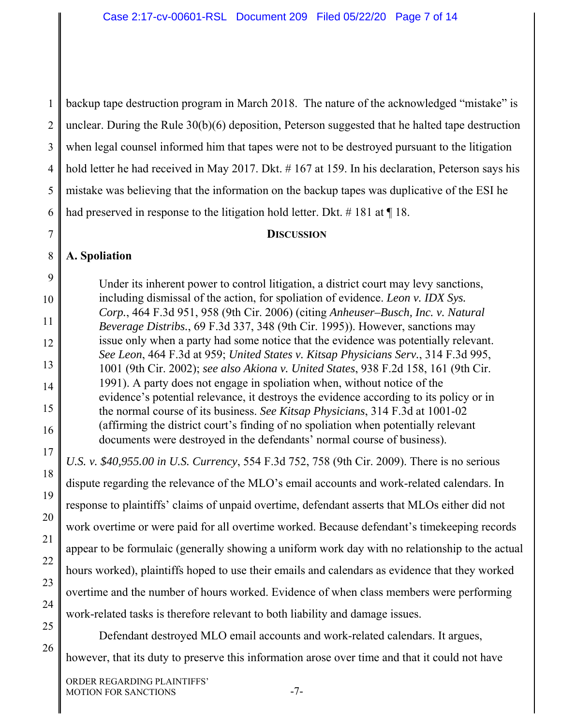1 2 3 4 5 6 backup tape destruction program in March 2018. The nature of the acknowledged "mistake" is unclear. During the Rule 30(b)(6) deposition, Peterson suggested that he halted tape destruction when legal counsel informed him that tapes were not to be destroyed pursuant to the litigation hold letter he had received in May 2017. Dkt. #167 at 159. In his declaration, Peterson says his mistake was believing that the information on the backup tapes was duplicative of the ESI he had preserved in response to the litigation hold letter. Dkt.  $\#$  181 at  $\P$  18.

# **DISCUSSION**

### 8 **A. Spoliation**

7

18

19

20

21

22

23

24

25

26

9 10 11 12 13 14 15 16 17 Under its inherent power to control litigation, a district court may levy sanctions, including dismissal of the action, for spoliation of evidence. *Leon v. IDX Sys. Corp.*, 464 F.3d 951, 958 (9th Cir. 2006) (citing *Anheuser–Busch, Inc. v. Natural Beverage Distribs.*, 69 F.3d 337, 348 (9th Cir. 1995)). However, sanctions may issue only when a party had some notice that the evidence was potentially relevant. *See Leon*, 464 F.3d at 959; *United States v. Kitsap Physicians Serv.*, 314 F.3d 995, 1001 (9th Cir. 2002); *see also Akiona v. United States*, 938 F.2d 158, 161 (9th Cir. 1991). A party does not engage in spoliation when, without notice of the evidence's potential relevance, it destroys the evidence according to its policy or in the normal course of its business. *See Kitsap Physicians*, 314 F.3d at 1001-02 (affirming the district court's finding of no spoliation when potentially relevant documents were destroyed in the defendants' normal course of business).

*U.S. v. \$40,955.00 in U.S. Currency*, 554 F.3d 752, 758 (9th Cir. 2009). There is no serious dispute regarding the relevance of the MLO's email accounts and work-related calendars. In response to plaintiffs' claims of unpaid overtime, defendant asserts that MLOs either did not work overtime or were paid for all overtime worked. Because defendant's timekeeping records appear to be formulaic (generally showing a uniform work day with no relationship to the actual hours worked), plaintiffs hoped to use their emails and calendars as evidence that they worked overtime and the number of hours worked. Evidence of when class members were performing work-related tasks is therefore relevant to both liability and damage issues.

Defendant destroyed MLO email accounts and work-related calendars. It argues, however, that its duty to preserve this information arose over time and that it could not have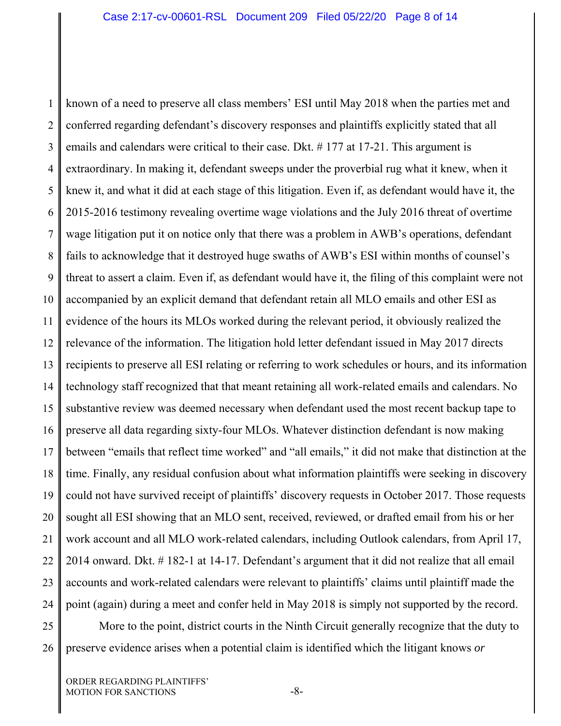1 2 3 4 5 6 7 8 9 10 11 12 13 14 15 16 17 18 19 20 21 22 23 24 25 known of a need to preserve all class members' ESI until May 2018 when the parties met and conferred regarding defendant's discovery responses and plaintiffs explicitly stated that all emails and calendars were critical to their case. Dkt. # 177 at 17-21. This argument is extraordinary. In making it, defendant sweeps under the proverbial rug what it knew, when it knew it, and what it did at each stage of this litigation. Even if, as defendant would have it, the 2015-2016 testimony revealing overtime wage violations and the July 2016 threat of overtime wage litigation put it on notice only that there was a problem in AWB's operations, defendant fails to acknowledge that it destroyed huge swaths of AWB's ESI within months of counsel's threat to assert a claim. Even if, as defendant would have it, the filing of this complaint were not accompanied by an explicit demand that defendant retain all MLO emails and other ESI as evidence of the hours its MLOs worked during the relevant period, it obviously realized the relevance of the information. The litigation hold letter defendant issued in May 2017 directs recipients to preserve all ESI relating or referring to work schedules or hours, and its information technology staff recognized that that meant retaining all work-related emails and calendars. No substantive review was deemed necessary when defendant used the most recent backup tape to preserve all data regarding sixty-four MLOs. Whatever distinction defendant is now making between "emails that reflect time worked" and "all emails," it did not make that distinction at the time. Finally, any residual confusion about what information plaintiffs were seeking in discovery could not have survived receipt of plaintiffs' discovery requests in October 2017. Those requests sought all ESI showing that an MLO sent, received, reviewed, or drafted email from his or her work account and all MLO work-related calendars, including Outlook calendars, from April 17, 2014 onward. Dkt. # 182-1 at 14-17. Defendant's argument that it did not realize that all email accounts and work-related calendars were relevant to plaintiffs' claims until plaintiff made the point (again) during a meet and confer held in May 2018 is simply not supported by the record. More to the point, district courts in the Ninth Circuit generally recognize that the duty to

26

preserve evidence arises when a potential claim is identified which the litigant knows *or*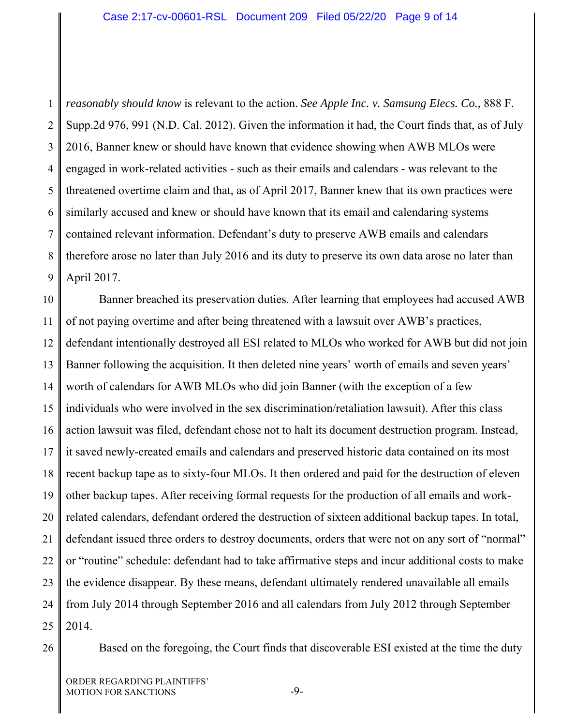1 2 3 4 5 6 7 8 9 *reasonably should know* is relevant to the action. *See Apple Inc. v. Samsung Elecs. Co.*, 888 F. Supp.2d 976, 991 (N.D. Cal. 2012). Given the information it had, the Court finds that, as of July 2016, Banner knew or should have known that evidence showing when AWB MLOs were engaged in work-related activities - such as their emails and calendars - was relevant to the threatened overtime claim and that, as of April 2017, Banner knew that its own practices were similarly accused and knew or should have known that its email and calendaring systems contained relevant information. Defendant's duty to preserve AWB emails and calendars therefore arose no later than July 2016 and its duty to preserve its own data arose no later than April 2017.

10 11 12 13 14 15 16 17 18 19 20 21 22 23 24 25 Banner breached its preservation duties. After learning that employees had accused AWB of not paying overtime and after being threatened with a lawsuit over AWB's practices, defendant intentionally destroyed all ESI related to MLOs who worked for AWB but did not join Banner following the acquisition. It then deleted nine years' worth of emails and seven years' worth of calendars for AWB MLOs who did join Banner (with the exception of a few individuals who were involved in the sex discrimination/retaliation lawsuit). After this class action lawsuit was filed, defendant chose not to halt its document destruction program. Instead, it saved newly-created emails and calendars and preserved historic data contained on its most recent backup tape as to sixty-four MLOs. It then ordered and paid for the destruction of eleven other backup tapes. After receiving formal requests for the production of all emails and workrelated calendars, defendant ordered the destruction of sixteen additional backup tapes. In total, defendant issued three orders to destroy documents, orders that were not on any sort of "normal" or "routine" schedule: defendant had to take affirmative steps and incur additional costs to make the evidence disappear. By these means, defendant ultimately rendered unavailable all emails from July 2014 through September 2016 and all calendars from July 2012 through September 2014.

Based on the foregoing, the Court finds that discoverable ESI existed at the time the duty

<sup>26</sup>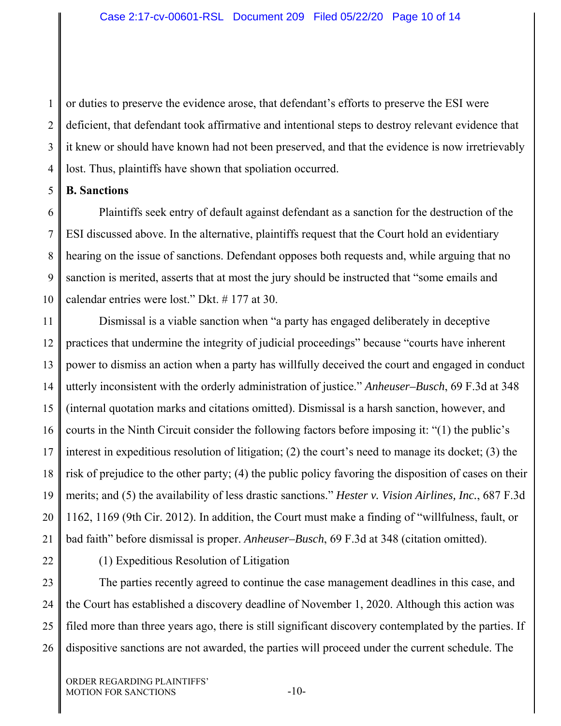1 2 3 4 or duties to preserve the evidence arose, that defendant's efforts to preserve the ESI were deficient, that defendant took affirmative and intentional steps to destroy relevant evidence that it knew or should have known had not been preserved, and that the evidence is now irretrievably lost. Thus, plaintiffs have shown that spoliation occurred.

### 5 **B. Sanctions**

6 7 8 9 10 Plaintiffs seek entry of default against defendant as a sanction for the destruction of the ESI discussed above. In the alternative, plaintiffs request that the Court hold an evidentiary hearing on the issue of sanctions. Defendant opposes both requests and, while arguing that no sanction is merited, asserts that at most the jury should be instructed that "some emails and calendar entries were lost." Dkt. # 177 at 30.

11 12 13 14 15 16 17 18 19 20 21 Dismissal is a viable sanction when "a party has engaged deliberately in deceptive practices that undermine the integrity of judicial proceedings" because "courts have inherent power to dismiss an action when a party has willfully deceived the court and engaged in conduct utterly inconsistent with the orderly administration of justice." *Anheuser–Busch*, 69 F.3d at 348 (internal quotation marks and citations omitted). Dismissal is a harsh sanction, however, and courts in the Ninth Circuit consider the following factors before imposing it: "(1) the public's interest in expeditious resolution of litigation; (2) the court's need to manage its docket; (3) the risk of prejudice to the other party; (4) the public policy favoring the disposition of cases on their merits; and (5) the availability of less drastic sanctions." *Hester v. Vision Airlines, Inc.*, 687 F.3d 1162, 1169 (9th Cir. 2012). In addition, the Court must make a finding of "willfulness, fault, or bad faith" before dismissal is proper. *Anheuser–Busch*, 69 F.3d at 348 (citation omitted).

22

(1) Expeditious Resolution of Litigation

23 24 25 26 The parties recently agreed to continue the case management deadlines in this case, and the Court has established a discovery deadline of November 1, 2020. Although this action was filed more than three years ago, there is still significant discovery contemplated by the parties. If dispositive sanctions are not awarded, the parties will proceed under the current schedule. The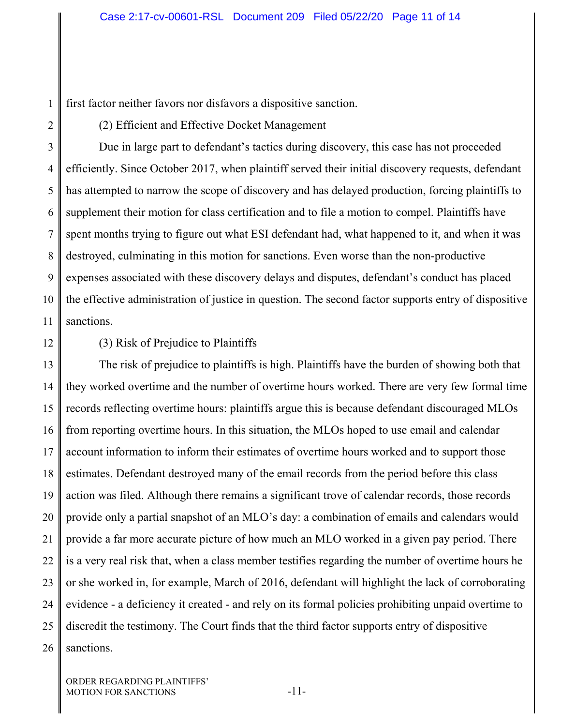1 first factor neither favors nor disfavors a dispositive sanction.

2

(2) Efficient and Effective Docket Management

3 4 5 6 7 8 9 10 11 Due in large part to defendant's tactics during discovery, this case has not proceeded efficiently. Since October 2017, when plaintiff served their initial discovery requests, defendant has attempted to narrow the scope of discovery and has delayed production, forcing plaintiffs to supplement their motion for class certification and to file a motion to compel. Plaintiffs have spent months trying to figure out what ESI defendant had, what happened to it, and when it was destroyed, culminating in this motion for sanctions. Even worse than the non-productive expenses associated with these discovery delays and disputes, defendant's conduct has placed the effective administration of justice in question. The second factor supports entry of dispositive sanctions.

12

(3) Risk of Prejudice to Plaintiffs

13 14 15 16 17 18 19 20 21 22 23 24 25 26 The risk of prejudice to plaintiffs is high. Plaintiffs have the burden of showing both that they worked overtime and the number of overtime hours worked. There are very few formal time records reflecting overtime hours: plaintiffs argue this is because defendant discouraged MLOs from reporting overtime hours. In this situation, the MLOs hoped to use email and calendar account information to inform their estimates of overtime hours worked and to support those estimates. Defendant destroyed many of the email records from the period before this class action was filed. Although there remains a significant trove of calendar records, those records provide only a partial snapshot of an MLO's day: a combination of emails and calendars would provide a far more accurate picture of how much an MLO worked in a given pay period. There is a very real risk that, when a class member testifies regarding the number of overtime hours he or she worked in, for example, March of 2016, defendant will highlight the lack of corroborating evidence - a deficiency it created - and rely on its formal policies prohibiting unpaid overtime to discredit the testimony. The Court finds that the third factor supports entry of dispositive sanctions.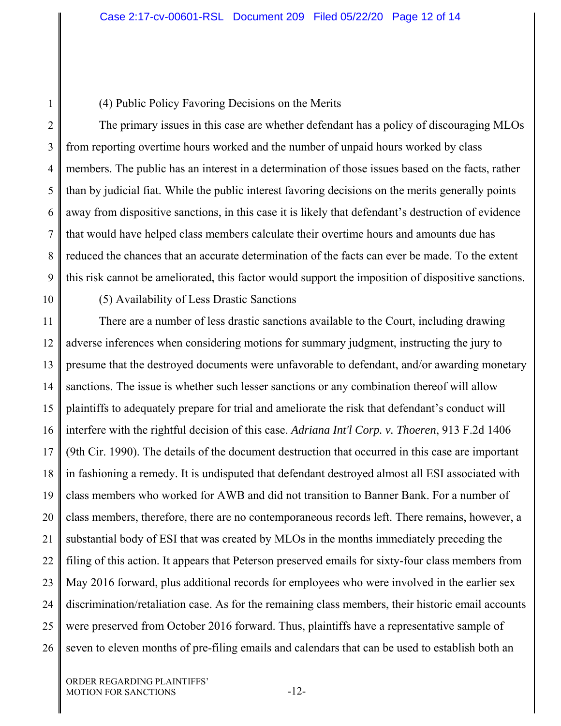### (4) Public Policy Favoring Decisions on the Merits

2 3 4 5 6 7 8 9 The primary issues in this case are whether defendant has a policy of discouraging MLOs from reporting overtime hours worked and the number of unpaid hours worked by class members. The public has an interest in a determination of those issues based on the facts, rather than by judicial fiat. While the public interest favoring decisions on the merits generally points away from dispositive sanctions, in this case it is likely that defendant's destruction of evidence that would have helped class members calculate their overtime hours and amounts due has reduced the chances that an accurate determination of the facts can ever be made. To the extent this risk cannot be ameliorated, this factor would support the imposition of dispositive sanctions.

10

1

(5) Availability of Less Drastic Sanctions

11 12 13 14 15 16 17 18 19 20 21 22 23 24 25 26 There are a number of less drastic sanctions available to the Court, including drawing adverse inferences when considering motions for summary judgment, instructing the jury to presume that the destroyed documents were unfavorable to defendant, and/or awarding monetary sanctions. The issue is whether such lesser sanctions or any combination thereof will allow plaintiffs to adequately prepare for trial and ameliorate the risk that defendant's conduct will interfere with the rightful decision of this case. *Adriana Int'l Corp. v. Thoeren*, 913 F.2d 1406 (9th Cir. 1990). The details of the document destruction that occurred in this case are important in fashioning a remedy. It is undisputed that defendant destroyed almost all ESI associated with class members who worked for AWB and did not transition to Banner Bank. For a number of class members, therefore, there are no contemporaneous records left. There remains, however, a substantial body of ESI that was created by MLOs in the months immediately preceding the filing of this action. It appears that Peterson preserved emails for sixty-four class members from May 2016 forward, plus additional records for employees who were involved in the earlier sex discrimination/retaliation case. As for the remaining class members, their historic email accounts were preserved from October 2016 forward. Thus, plaintiffs have a representative sample of seven to eleven months of pre-filing emails and calendars that can be used to establish both an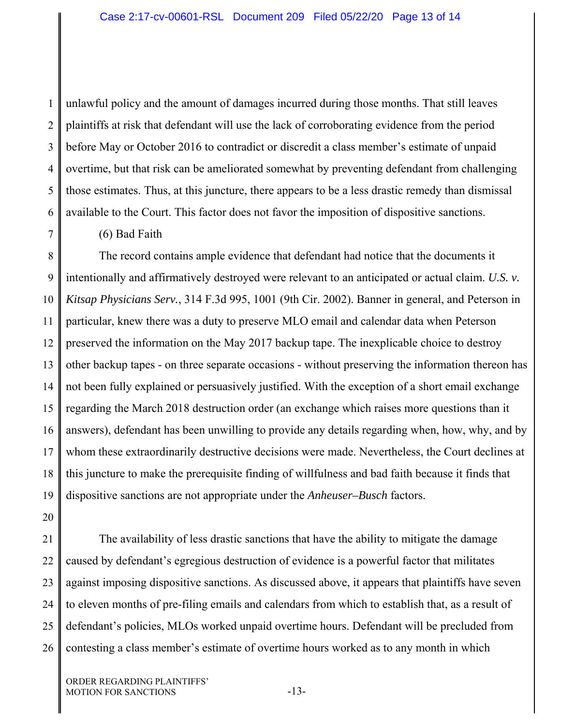1 2 3 4 5 6 unlawful policy and the amount of damages incurred during those months. That still leaves plaintiffs at risk that defendant will use the lack of corroborating evidence from the period before May or October 2016 to contradict or discredit a class member's estimate of unpaid overtime, but that risk can be ameliorated somewhat by preventing defendant from challenging those estimates. Thus, at this juncture, there appears to be a less drastic remedy than dismissal available to the Court. This factor does not favor the imposition of dispositive sanctions.

# 7

(6) Bad Faith

8 9 10 11 12 13 14 15 16 17 18 19 The record contains ample evidence that defendant had notice that the documents it intentionally and affirmatively destroyed were relevant to an anticipated or actual claim. *U.S. v. Kitsap Physicians Serv.*, 314 F.3d 995, 1001 (9th Cir. 2002). Banner in general, and Peterson in particular, knew there was a duty to preserve MLO email and calendar data when Peterson preserved the information on the May 2017 backup tape. The inexplicable choice to destroy other backup tapes - on three separate occasions - without preserving the information thereon has not been fully explained or persuasively justified. With the exception of a short email exchange regarding the March 2018 destruction order (an exchange which raises more questions than it answers), defendant has been unwilling to provide any details regarding when, how, why, and by whom these extraordinarily destructive decisions were made. Nevertheless, the Court declines at this juncture to make the prerequisite finding of willfulness and bad faith because it finds that dispositive sanctions are not appropriate under the *Anheuser–Busch* factors.

20

21 22 23 24 25 26 The availability of less drastic sanctions that have the ability to mitigate the damage caused by defendant's egregious destruction of evidence is a powerful factor that militates against imposing dispositive sanctions. As discussed above, it appears that plaintiffs have seven to eleven months of pre-filing emails and calendars from which to establish that, as a result of defendant's policies, MLOs worked unpaid overtime hours. Defendant will be precluded from contesting a class member's estimate of overtime hours worked as to any month in which